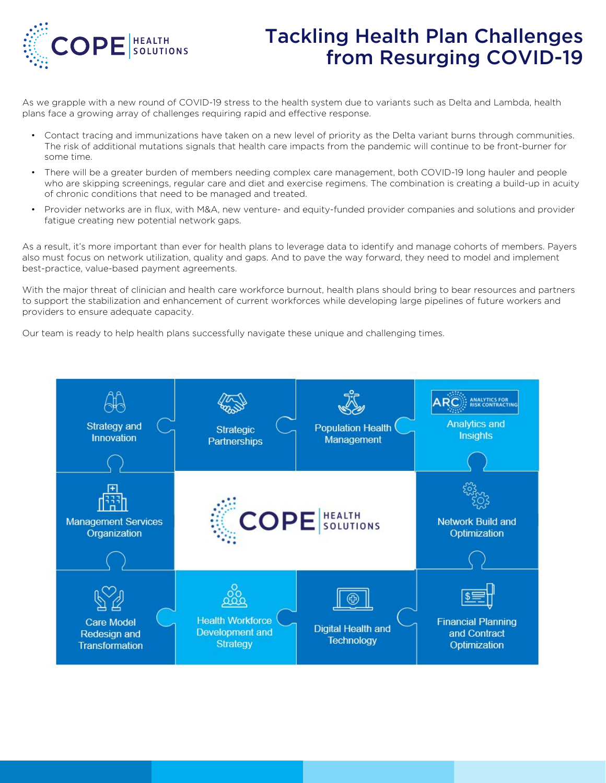

# Tackling Health Plan Challenges from Resurging COVID-19

As we grapple with a new round of COVID-19 stress to the health system due to variants such as Delta and Lambda, health plans face a growing array of challenges requiring rapid and effective response.

- Contact tracing and immunizations have taken on a new level of priority as the Delta variant burns through communities. The risk of additional mutations signals that health care impacts from the pandemic will continue to be front-burner for some time.
- There will be a greater burden of members needing complex care management, both COVID-19 long hauler and people who are skipping screenings, regular care and diet and exercise regimens. The combination is creating a build-up in acuity of chronic conditions that need to be managed and treated.
- Provider networks are in flux, with M&A, new venture- and equity-funded provider companies and solutions and provider fatigue creating new potential network gaps.

As a result, it's more important than ever for health plans to leverage data to identify and manage cohorts of members. Payers also must focus on network utilization, quality and gaps. And to pave the way forward, they need to model and implement best-practice, value-based payment agreements.

With the major threat of clinician and health care workforce burnout, health plans should bring to bear resources and partners to support the stabilization and enhancement of current workforces while developing large pipelines of future workers and providers to ensure adequate capacity.

Our team is ready to help health plans successfully navigate these unique and challenging times.